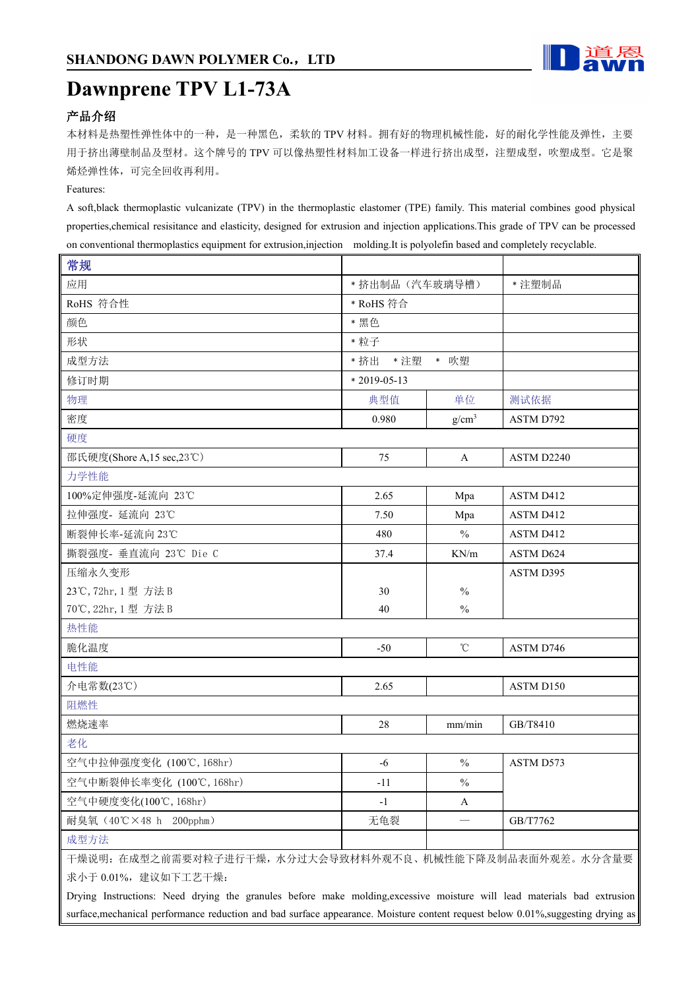

# **Dawnprene TPV L1-73A**

## 产品介绍

本材料是热塑性弹性体中的一种,是一种黑色,柔软的 TPV 材料。拥有好的物理机械性能,好的耐化学性能及弹性,主要 用于挤出薄壁制品及型材。这个牌号的 TPV 可以像热塑性材料加工设备一样进行挤出成型, 注塑成型, 吹塑成型。它是聚 烯烃弹性体,可完全回收再利用。

### Features:

Ш

A soft,black thermoplastic vulcanizate (TPV) in the thermoplastic elastomer (TPE) family. This material combines good physical properties,chemical resisitance and elasticity, designed for extrusion and injection applications.This grade of TPV can be processed on conventional thermoplastics equipment for extrusion,injection molding.It is polyolefin based and completely recyclable.

| 常规                                                                                                                               |                  |                   |            |
|----------------------------------------------------------------------------------------------------------------------------------|------------------|-------------------|------------|
| 应用                                                                                                                               | * 挤出制品(汽车玻璃导槽)   |                   | * 注塑制品     |
| RoHS 符合性                                                                                                                         | * RoHS 符合        |                   |            |
| 颜色                                                                                                                               | * 黑色             |                   |            |
| 形状                                                                                                                               | * 粒子             |                   |            |
| 成型方法                                                                                                                             | *注塑 * 吹塑<br>* 挤出 |                   |            |
| 修订时期                                                                                                                             | $*2019-05-13$    |                   |            |
| 物理                                                                                                                               | 典型值              | 单位                | 测试依据       |
| 密度                                                                                                                               | 0.980            | g/cm <sup>3</sup> | ASTM D792  |
| 硬度                                                                                                                               |                  |                   |            |
| 邵氏硬度(Shore A,15 sec,23℃)                                                                                                         | 75               | $\mathbf{A}$      | ASTM D2240 |
| 力学性能                                                                                                                             |                  |                   |            |
| 100%定伸强度-延流向 23℃                                                                                                                 | 2.65             | Mpa               | ASTM D412  |
| 拉伸强度- 延流向 23℃                                                                                                                    | 7.50             | Mpa               | ASTM D412  |
| 断裂伸长率-延流向 23℃                                                                                                                    | 480              | $\frac{0}{0}$     | ASTM D412  |
| 撕裂强度- 垂直流向 23℃ Die C                                                                                                             | 37.4             | KN/m              | ASTM D624  |
| 压缩永久变形                                                                                                                           |                  |                   | ASTM D395  |
| 23℃, 72hr, 1型 方法 B                                                                                                               | 30               | $\frac{0}{0}$     |            |
| 70℃, 22hr, 1型 方法 B                                                                                                               | 40               | $\frac{0}{0}$     |            |
| 热性能                                                                                                                              |                  |                   |            |
| 脆化温度                                                                                                                             | $-50$            | $^\circ\!{\rm C}$ | ASTM D746  |
| 电性能                                                                                                                              |                  |                   |            |
| 介电常数(23℃)                                                                                                                        | 2.65             |                   | ASTM D150  |
| 阻燃性                                                                                                                              |                  |                   |            |
| 燃烧速率                                                                                                                             | 28               | mm/min            | GB/T8410   |
| 老化                                                                                                                               |                  |                   |            |
| 空气中拉伸强度变化 (100℃, 168hr)                                                                                                          | $-6$             | $\frac{0}{0}$     | ASTM D573  |
| 空气中断裂伸长率变化 (100℃, 168hr)                                                                                                         | $-11$            | $\frac{0}{0}$     |            |
| 空气中硬度变化(100℃, 168hr)                                                                                                             | $-1$             | $\mathbf{A}$      |            |
| 耐臭氧 (40℃×48 h 200pphm)                                                                                                           | 无龟裂              |                   | GB/T7762   |
| 成型方法                                                                                                                             |                  |                   |            |
| 干燥说明: 在成型之前需要对粒子进行干燥, 水分过大会导致材料外观不良、机械性能下降及制品表面外观差。水分含量要                                                                         |                  |                   |            |
| 求小于 0.01%, 建议如下工艺干燥:                                                                                                             |                  |                   |            |
| Drying Instructions: Need drying the granules before make molding, excessive moisture will lead materials bad extrusion          |                  |                   |            |
| surface, mechanical performance reduction and bad surface appearance. Moisture content request below 0.01%, suggesting drying as |                  |                   |            |